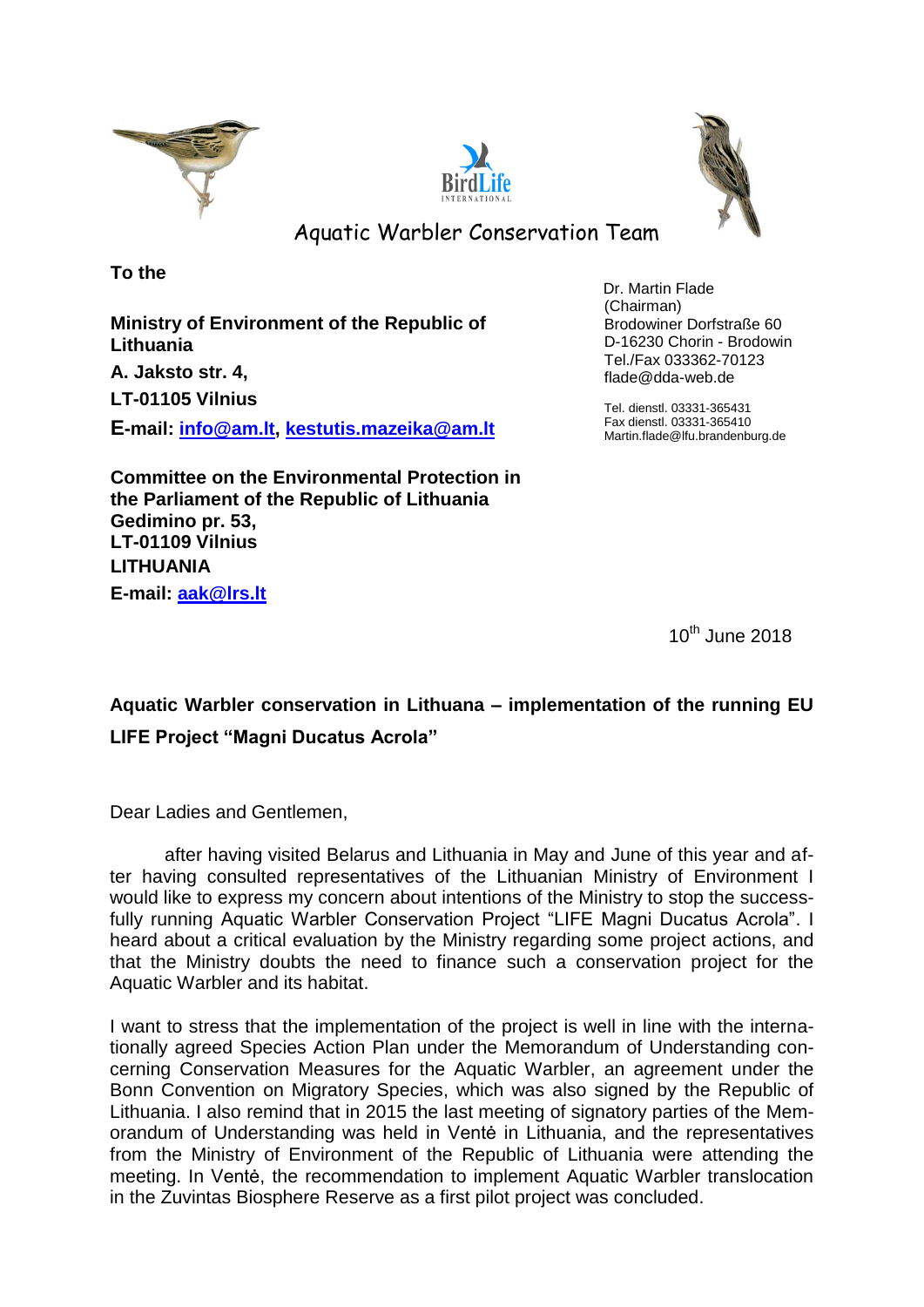





Aquatic Warbler Conservation Team

**To the**

**Ministry of Environment of the Republic of Lithuania A. Jaksto str. 4, LT-01105 Vilnius E-mail: [info@am.lt,](mailto:info@am.lt) [kestutis.mazeika@am.lt](mailto:kestutis.mazeika@am.lt)** Dr. Martin Flade (Chairman) Brodowiner Dorfstraße 60 D-16230 Chorin - Brodowin Tel./Fax 033362-70123 flade@dda-web.de

Tel. dienstl. 03331-365431 Fax dienstl. 03331-365410 Martin.flade@lfu.brandenburg.de

**Committee on the Environmental Protection in the Parliament of the Republic of Lithuania Gedimino pr. 53, LT-01109 Vilnius LITHUANIA E-mail: [aak@lrs.lt](mailto:aak@lrs.lt)**

10th June 2018

**Aquatic Warbler conservation in Lithuana – implementation of the running EU LIFE Project "Magni Ducatus Acrola"**

Dear Ladies and Gentlemen,

after having visited Belarus and Lithuania in May and June of this year and after having consulted representatives of the Lithuanian Ministry of Environment I would like to express my concern about intentions of the Ministry to stop the successfully running Aquatic Warbler Conservation Project "LIFE Magni Ducatus Acrola". I heard about a critical evaluation by the Ministry regarding some project actions, and that the Ministry doubts the need to finance such a conservation project for the Aquatic Warbler and its habitat.

I want to stress that the implementation of the project is well in line with the internationally agreed Species Action Plan under the Memorandum of Understanding concerning Conservation Measures for the Aquatic Warbler, an agreement under the Bonn Convention on Migratory Species, which was also signed by the Republic of Lithuania. I also remind that in 2015 the last meeting of signatory parties of the Memorandum of Understanding was held in Ventė in Lithuania, and the representatives from the Ministry of Environment of the Republic of Lithuania were attending the meeting. In Ventė, the recommendation to implement Aquatic Warbler translocation in the Zuvintas Biosphere Reserve as a first pilot project was concluded.